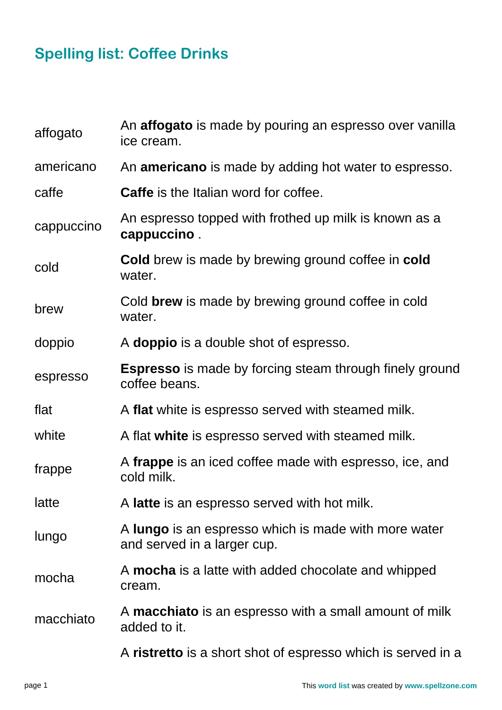## **Spelling list: Coffee Drinks**

| affogato   | An <b>affogato</b> is made by pouring an espresso over vanilla<br>ice cream.        |
|------------|-------------------------------------------------------------------------------------|
| americano  | An <b>americano</b> is made by adding hot water to espresso.                        |
| caffe      | <b>Caffe</b> is the Italian word for coffee.                                        |
| cappuccino | An espresso topped with frothed up milk is known as a<br>cappuccino.                |
| cold       | <b>Cold</b> brew is made by brewing ground coffee in cold<br>water.                 |
| brew       | Cold brew is made by brewing ground coffee in cold<br>water.                        |
| doppio     | A <b>doppio</b> is a double shot of espresso.                                       |
| espresso   | <b>Espresso</b> is made by forcing steam through finely ground<br>coffee beans.     |
| flat       | A flat white is espresso served with steamed milk.                                  |
| white      | A flat white is espresso served with steamed milk.                                  |
| frappe     | A frappe is an iced coffee made with espresso, ice, and<br>cold milk.               |
| latte      | A latte is an espresso served with hot milk.                                        |
| lungo      | A lungo is an espresso which is made with more water<br>and served in a larger cup. |
| mocha      | A mocha is a latte with added chocolate and whipped<br>cream.                       |
| macchiato  | A macchiato is an espresso with a small amount of milk<br>added to it.              |
|            | A ristretto is a short shot of espresso which is served in a                        |